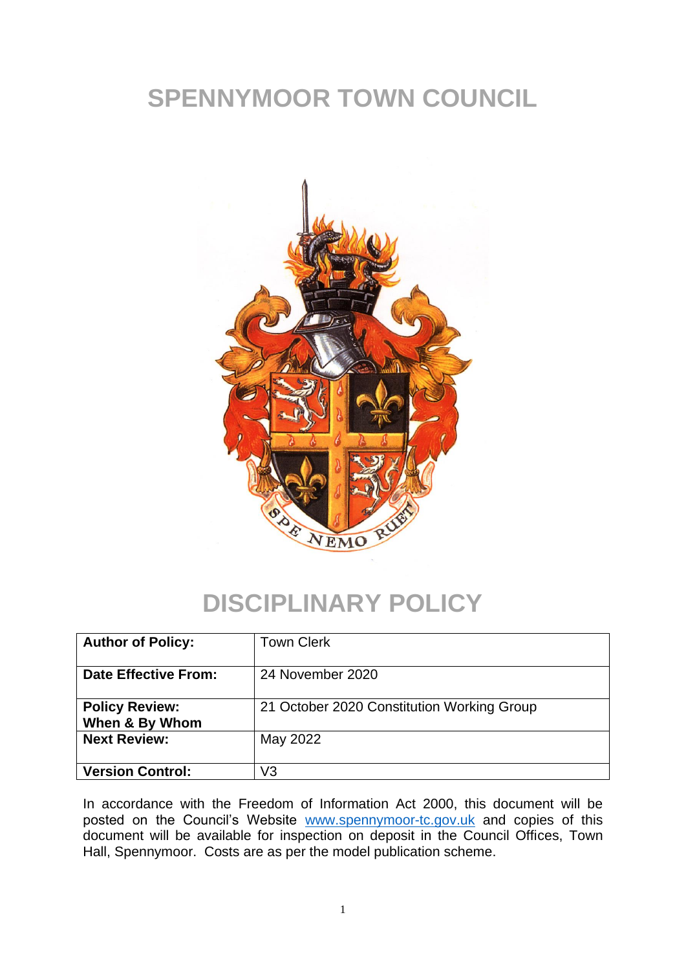# **SPENNYMOOR TOWN COUNCIL**



### **DISCIPLINARY POLICY**

| <b>Author of Policy:</b>                | <b>Town Clerk</b>                          |
|-----------------------------------------|--------------------------------------------|
| <b>Date Effective From:</b>             | 24 November 2020                           |
| <b>Policy Review:</b><br>When & By Whom | 21 October 2020 Constitution Working Group |
| <b>Next Review:</b>                     | May 2022                                   |
| <b>Version Control:</b>                 | V3                                         |

In accordance with the Freedom of Information Act 2000, this document will be posted on the Council's Website [www.spennymoor-tc.gov.uk](http://www.spennymoor-tc.gov.uk/) and copies of this document will be available for inspection on deposit in the Council Offices, Town Hall, Spennymoor. Costs are as per the model publication scheme.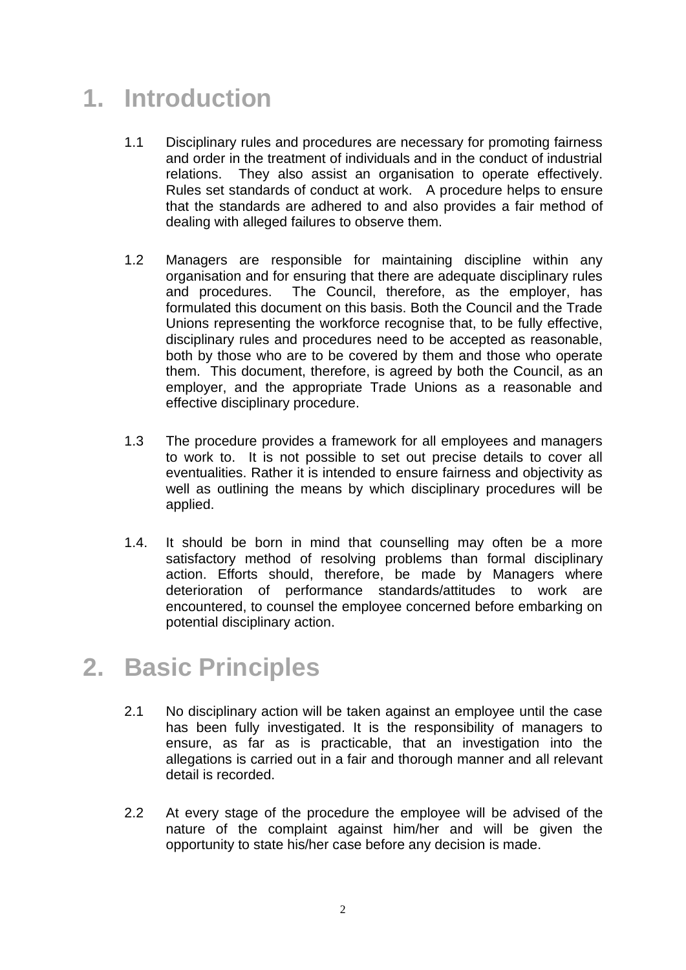# **1. Introduction**

- 1.1 Disciplinary rules and procedures are necessary for promoting fairness and order in the treatment of individuals and in the conduct of industrial relations. They also assist an organisation to operate effectively. Rules set standards of conduct at work. A procedure helps to ensure that the standards are adhered to and also provides a fair method of dealing with alleged failures to observe them.
- 1.2 Managers are responsible for maintaining discipline within any organisation and for ensuring that there are adequate disciplinary rules and procedures. The Council, therefore, as the employer, has formulated this document on this basis. Both the Council and the Trade Unions representing the workforce recognise that, to be fully effective, disciplinary rules and procedures need to be accepted as reasonable, both by those who are to be covered by them and those who operate them. This document, therefore, is agreed by both the Council, as an employer, and the appropriate Trade Unions as a reasonable and effective disciplinary procedure.
- 1.3 The procedure provides a framework for all employees and managers to work to. It is not possible to set out precise details to cover all eventualities. Rather it is intended to ensure fairness and objectivity as well as outlining the means by which disciplinary procedures will be applied.
- 1.4. It should be born in mind that counselling may often be a more satisfactory method of resolving problems than formal disciplinary action. Efforts should, therefore, be made by Managers where deterioration of performance standards/attitudes to work are encountered, to counsel the employee concerned before embarking on potential disciplinary action.

# **2. Basic Principles**

- 2.1 No disciplinary action will be taken against an employee until the case has been fully investigated. It is the responsibility of managers to ensure, as far as is practicable, that an investigation into the allegations is carried out in a fair and thorough manner and all relevant detail is recorded.
- 2.2 At every stage of the procedure the employee will be advised of the nature of the complaint against him/her and will be given the opportunity to state his/her case before any decision is made.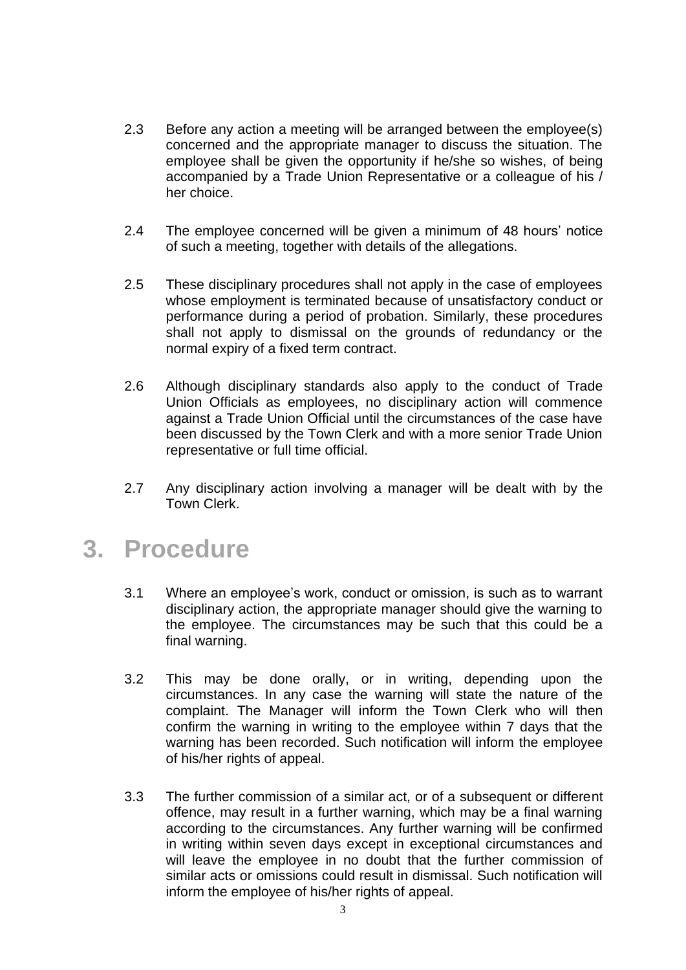- 2.3 Before any action a meeting will be arranged between the employee(s) concerned and the appropriate manager to discuss the situation. The employee shall be given the opportunity if he/she so wishes, of being accompanied by a Trade Union Representative or a colleague of his / her choice.
- 2.4 The employee concerned will be given a minimum of 48 hours' notice of such a meeting, together with details of the allegations.
- 2.5 These disciplinary procedures shall not apply in the case of employees whose employment is terminated because of unsatisfactory conduct or performance during a period of probation. Similarly, these procedures shall not apply to dismissal on the grounds of redundancy or the normal expiry of a fixed term contract.
- 2.6 Although disciplinary standards also apply to the conduct of Trade Union Officials as employees, no disciplinary action will commence against a Trade Union Official until the circumstances of the case have been discussed by the Town Clerk and with a more senior Trade Union representative or full time official.
- 2.7 Any disciplinary action involving a manager will be dealt with by the Town Clerk.

### **3. Procedure**

- 3.1 Where an employee's work, conduct or omission, is such as to warrant disciplinary action, the appropriate manager should give the warning to the employee. The circumstances may be such that this could be a final warning.
- 3.2 This may be done orally, or in writing, depending upon the circumstances. In any case the warning will state the nature of the complaint. The Manager will inform the Town Clerk who will then confirm the warning in writing to the employee within 7 days that the warning has been recorded. Such notification will inform the employee of his/her rights of appeal.
- 3.3 The further commission of a similar act, or of a subsequent or different offence, may result in a further warning, which may be a final warning according to the circumstances. Any further warning will be confirmed in writing within seven days except in exceptional circumstances and will leave the employee in no doubt that the further commission of similar acts or omissions could result in dismissal. Such notification will inform the employee of his/her rights of appeal.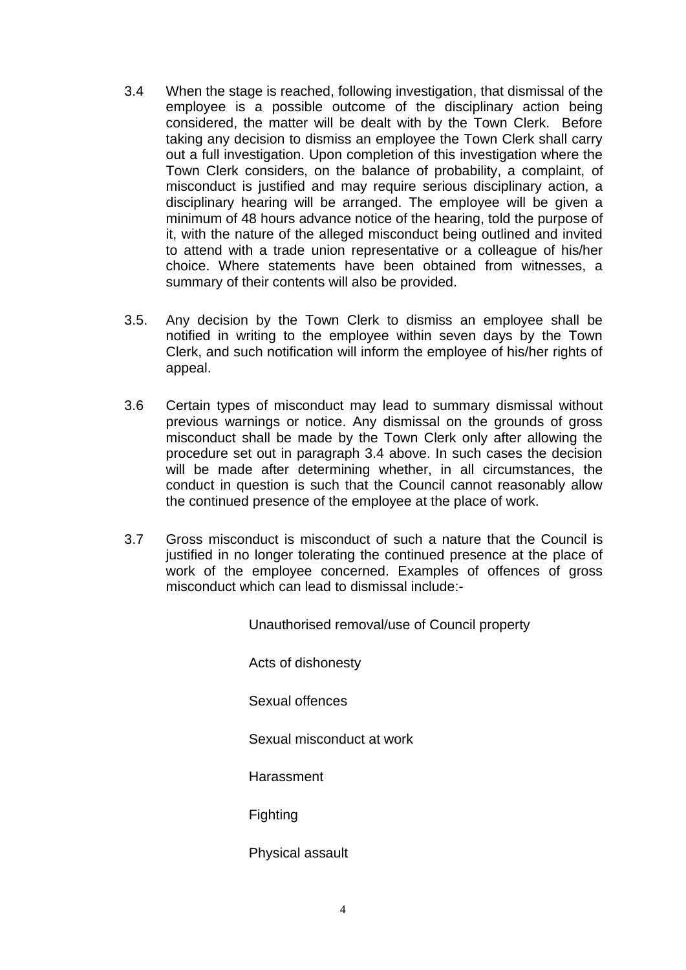- 3.4 When the stage is reached, following investigation, that dismissal of the employee is a possible outcome of the disciplinary action being considered, the matter will be dealt with by the Town Clerk. Before taking any decision to dismiss an employee the Town Clerk shall carry out a full investigation. Upon completion of this investigation where the Town Clerk considers, on the balance of probability, a complaint, of misconduct is justified and may require serious disciplinary action, a disciplinary hearing will be arranged. The employee will be given a minimum of 48 hours advance notice of the hearing, told the purpose of it, with the nature of the alleged misconduct being outlined and invited to attend with a trade union representative or a colleague of his/her choice. Where statements have been obtained from witnesses, a summary of their contents will also be provided.
- 3.5. Any decision by the Town Clerk to dismiss an employee shall be notified in writing to the employee within seven days by the Town Clerk, and such notification will inform the employee of his/her rights of appeal.
- 3.6 Certain types of misconduct may lead to summary dismissal without previous warnings or notice. Any dismissal on the grounds of gross misconduct shall be made by the Town Clerk only after allowing the procedure set out in paragraph 3.4 above. In such cases the decision will be made after determining whether, in all circumstances, the conduct in question is such that the Council cannot reasonably allow the continued presence of the employee at the place of work.
- 3.7 Gross misconduct is misconduct of such a nature that the Council is justified in no longer tolerating the continued presence at the place of work of the employee concerned. Examples of offences of gross misconduct which can lead to dismissal include:-

Unauthorised removal/use of Council property

Acts of dishonesty

Sexual offences

Sexual misconduct at work

**Harassment** 

Fighting

Physical assault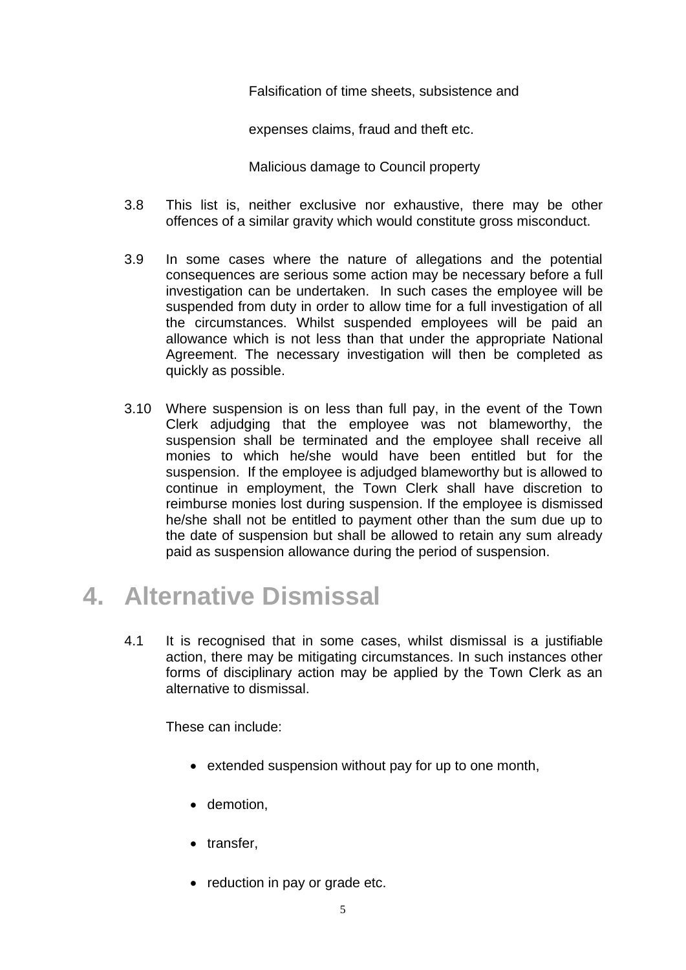Falsification of time sheets, subsistence and

expenses claims, fraud and theft etc.

Malicious damage to Council property

- 3.8 This list is, neither exclusive nor exhaustive, there may be other offences of a similar gravity which would constitute gross misconduct.
- 3.9 In some cases where the nature of allegations and the potential consequences are serious some action may be necessary before a full investigation can be undertaken. In such cases the employee will be suspended from duty in order to allow time for a full investigation of all the circumstances. Whilst suspended employees will be paid an allowance which is not less than that under the appropriate National Agreement. The necessary investigation will then be completed as quickly as possible.
- 3.10 Where suspension is on less than full pay, in the event of the Town Clerk adjudging that the employee was not blameworthy, the suspension shall be terminated and the employee shall receive all monies to which he/she would have been entitled but for the suspension. If the employee is adjudged blameworthy but is allowed to continue in employment, the Town Clerk shall have discretion to reimburse monies lost during suspension. If the employee is dismissed he/she shall not be entitled to payment other than the sum due up to the date of suspension but shall be allowed to retain any sum already paid as suspension allowance during the period of suspension.

# **4. Alternative Dismissal**

4.1 It is recognised that in some cases, whilst dismissal is a justifiable action, there may be mitigating circumstances. In such instances other forms of disciplinary action may be applied by the Town Clerk as an alternative to dismissal.

These can include:

- extended suspension without pay for up to one month,
- demotion,
- transfer,
- reduction in pay or grade etc.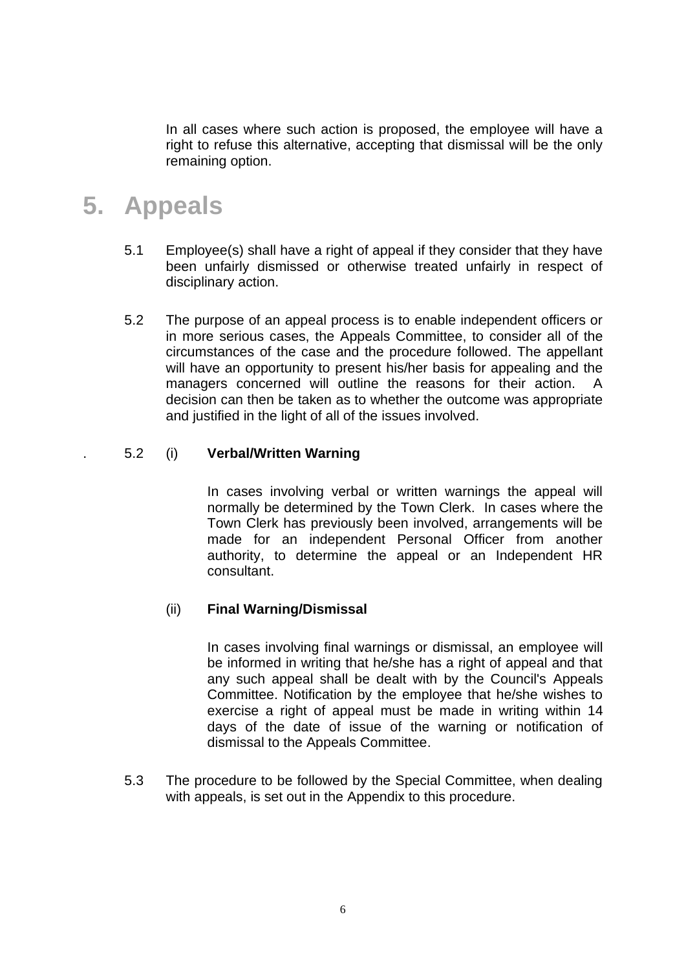In all cases where such action is proposed, the employee will have a right to refuse this alternative, accepting that dismissal will be the only remaining option.

### **5. Appeals**

- 5.1 Employee(s) shall have a right of appeal if they consider that they have been unfairly dismissed or otherwise treated unfairly in respect of disciplinary action.
- 5.2 The purpose of an appeal process is to enable independent officers or in more serious cases, the Appeals Committee, to consider all of the circumstances of the case and the procedure followed. The appellant will have an opportunity to present his/her basis for appealing and the managers concerned will outline the reasons for their action. A decision can then be taken as to whether the outcome was appropriate and justified in the light of all of the issues involved.

#### . 5.2 (i) **Verbal/Written Warning**

In cases involving verbal or written warnings the appeal will normally be determined by the Town Clerk. In cases where the Town Clerk has previously been involved, arrangements will be made for an independent Personal Officer from another authority, to determine the appeal or an Independent HR consultant.

#### (ii) **Final Warning/Dismissal**

In cases involving final warnings or dismissal, an employee will be informed in writing that he/she has a right of appeal and that any such appeal shall be dealt with by the Council's Appeals Committee. Notification by the employee that he/she wishes to exercise a right of appeal must be made in writing within 14 days of the date of issue of the warning or notification of dismissal to the Appeals Committee.

5.3 The procedure to be followed by the Special Committee, when dealing with appeals, is set out in the Appendix to this procedure.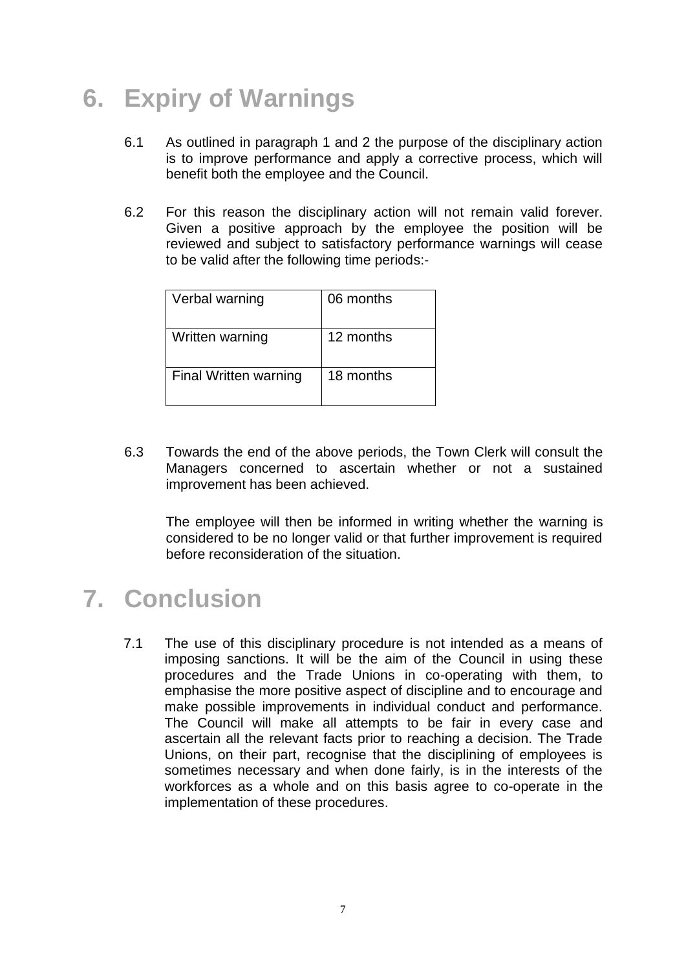# **6. Expiry of Warnings**

- 6.1 As outlined in paragraph 1 and 2 the purpose of the disciplinary action is to improve performance and apply a corrective process, which will benefit both the employee and the Council.
- 6.2 For this reason the disciplinary action will not remain valid forever. Given a positive approach by the employee the position will be reviewed and subject to satisfactory performance warnings will cease to be valid after the following time periods:-

| Verbal warning        | 06 months |
|-----------------------|-----------|
| Written warning       | 12 months |
| Final Written warning | 18 months |

6.3 Towards the end of the above periods, the Town Clerk will consult the Managers concerned to ascertain whether or not a sustained improvement has been achieved.

The employee will then be informed in writing whether the warning is considered to be no longer valid or that further improvement is required before reconsideration of the situation.

## **7. Conclusion**

7.1 The use of this disciplinary procedure is not intended as a means of imposing sanctions. It will be the aim of the Council in using these procedures and the Trade Unions in co-operating with them, to emphasise the more positive aspect of discipline and to encourage and make possible improvements in individual conduct and performance. The Council will make all attempts to be fair in every case and ascertain all the relevant facts prior to reaching a decision. The Trade Unions, on their part, recognise that the disciplining of employees is sometimes necessary and when done fairly, is in the interests of the workforces as a whole and on this basis agree to co-operate in the implementation of these procedures.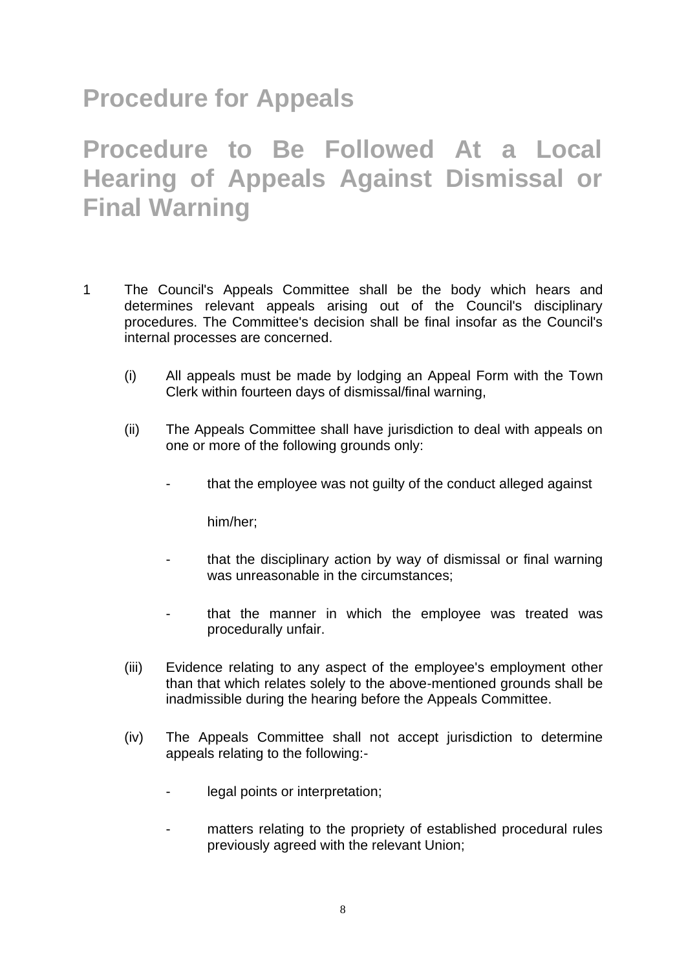# **Procedure for Appeals**

# **Procedure to Be Followed At a Local Hearing of Appeals Against Dismissal or Final Warning**

- 1 The Council's Appeals Committee shall be the body which hears and determines relevant appeals arising out of the Council's disciplinary procedures. The Committee's decision shall be final insofar as the Council's internal processes are concerned.
	- (i) All appeals must be made by lodging an Appeal Form with the Town Clerk within fourteen days of dismissal/final warning,
	- (ii) The Appeals Committee shall have jurisdiction to deal with appeals on one or more of the following grounds only:
		- that the employee was not guilty of the conduct alleged against

him/her;

- that the disciplinary action by way of dismissal or final warning was unreasonable in the circumstances;
- that the manner in which the employee was treated was procedurally unfair.
- (iii) Evidence relating to any aspect of the employee's employment other than that which relates solely to the above-mentioned grounds shall be inadmissible during the hearing before the Appeals Committee.
- (iv) The Appeals Committee shall not accept jurisdiction to determine appeals relating to the following:
	- legal points or interpretation;
	- matters relating to the propriety of established procedural rules previously agreed with the relevant Union;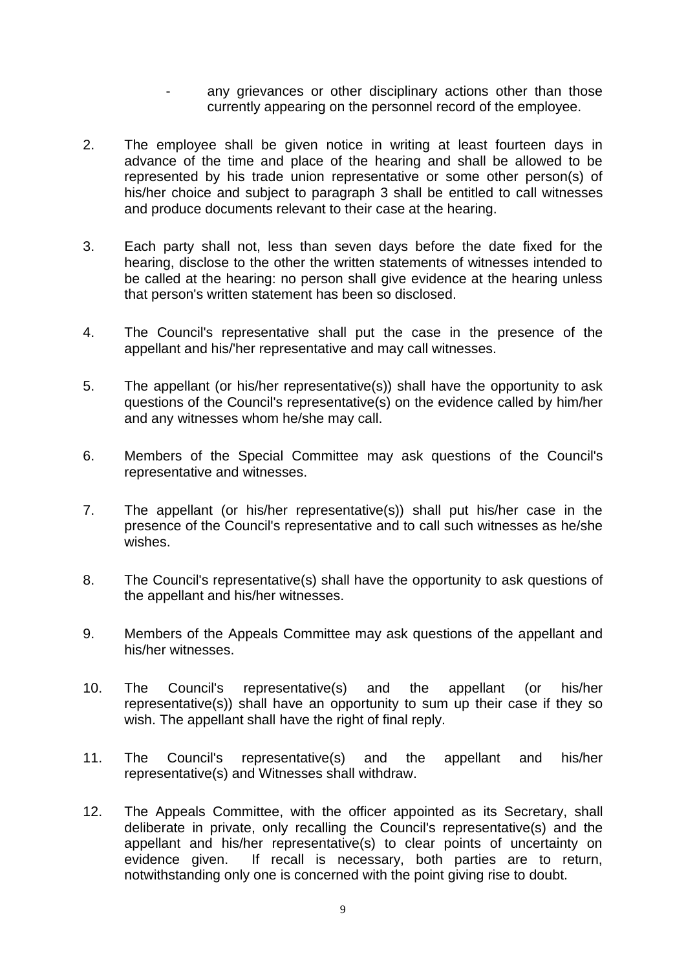- any grievances or other disciplinary actions other than those currently appearing on the personnel record of the employee.
- 2. The employee shall be given notice in writing at least fourteen days in advance of the time and place of the hearing and shall be allowed to be represented by his trade union representative or some other person(s) of his/her choice and subject to paragraph 3 shall be entitled to call witnesses and produce documents relevant to their case at the hearing.
- 3. Each party shall not, less than seven days before the date fixed for the hearing, disclose to the other the written statements of witnesses intended to be called at the hearing: no person shall give evidence at the hearing unless that person's written statement has been so disclosed.
- 4. The Council's representative shall put the case in the presence of the appellant and his/'her representative and may call witnesses.
- 5. The appellant (or his/her representative(s)) shall have the opportunity to ask questions of the Council's representative(s) on the evidence called by him/her and any witnesses whom he/she may call.
- 6. Members of the Special Committee may ask questions of the Council's representative and witnesses.
- 7. The appellant (or his/her representative(s)) shall put his/her case in the presence of the Council's representative and to call such witnesses as he/she wishes.
- 8. The Council's representative(s) shall have the opportunity to ask questions of the appellant and his/her witnesses.
- 9. Members of the Appeals Committee may ask questions of the appellant and his/her witnesses.
- 10. The Council's representative(s) and the appellant (or his/her representative(s)) shall have an opportunity to sum up their case if they so wish. The appellant shall have the right of final reply.
- 11. The Council's representative(s) and the appellant and his/her representative(s) and Witnesses shall withdraw.
- 12. The Appeals Committee, with the officer appointed as its Secretary, shall deliberate in private, only recalling the Council's representative(s) and the appellant and his/her representative(s) to clear points of uncertainty on evidence given. If recall is necessary, both parties are to return, notwithstanding only one is concerned with the point giving rise to doubt.